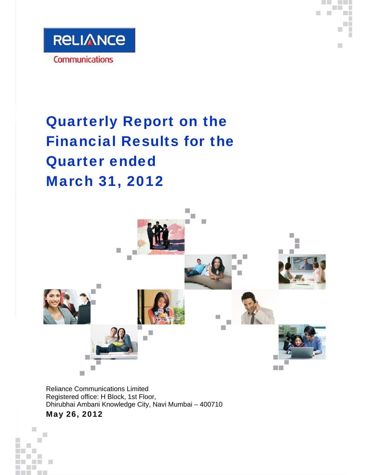



## Quarterly Report on the Financial Results for the Quarter ended March 31, 2012



Reliance Communications Limited Registered office: H Block, 1st Floor, Dhirubhai Ambani Knowledge City, Navi Mumbai – 400710

May 26, 2012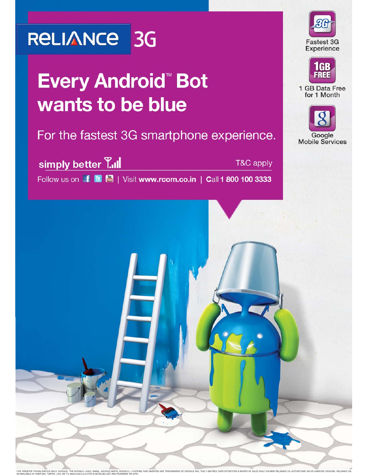# RELIANCE 3G

# **Every Android<sup>™</sup> Bot** wants to be blue

For the fastest 3G smartphone experience.

simply better **Tull** T&C apply 





1 GB Data Free for 1 Month



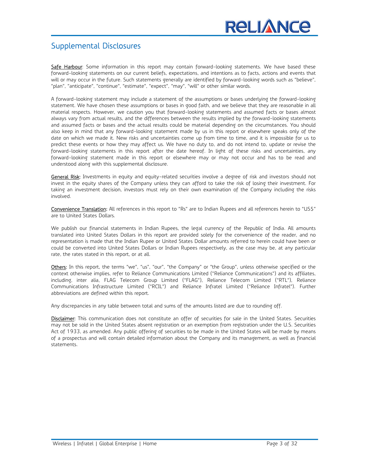### Supplemental Disclosures

Safe Harbour: Some information in this report may contain forward-looking statements. We have based these forward-looking statements on our current beliefs, expectations, and intentions as to facts, actions and events that will or may occur in the future. Such statements generally are identified by forward-looking words such as "believe", "plan", "anticipate", "continue", "estimate", "expect", "may", "will" or other similar words.

A forward-looking statement may include a statement of the assumptions or bases underlying the forward-looking statement. We have chosen these assumptions or bases in good faith, and we believe that they are reasonable in all material respects. However, we caution you that forward-looking statements and assumed facts or bases almost always vary from actual results, and the differences between the results implied by the forward-looking statements and assumed facts or bases and the actual results could be material depending on the circumstances. You should also keep in mind that any forward-looking statement made by us in this report or elsewhere speaks only of the date on which we made it. New risks and uncertainties come up from time to time, and it is impossible for us to predict these events or how they may affect us. We have no duty to, and do not intend to, update or revise the forward-looking statements in this report after the date hereof. In light of these risks and uncertainties, any forward-looking statement made in this report or elsewhere may or may not occur and has to be read and understood along with this supplemental disclosure.

General Risk: Investments in equity and equity-related securities involve a degree of risk and investors should not invest in the equity shares of the Company unless they can afford to take the risk of losing their investment. For taking an investment decision, investors must rely on their own examination of the Company including the risks involved.

Convenience Translation: All references in this report to "Rs" are to Indian Rupees and all references herein to "US\$" are to United States Dollars.

We publish our financial statements in Indian Rupees, the legal currency of the Republic of India. All amounts translated into United States Dollars in this report are provided solely for the convenience of the reader, and no representation is made that the Indian Rupee or United States Dollar amounts referred to herein could have been or could be converted into United States Dollars or Indian Rupees respectively, as the case may be, at any particular rate, the rates stated in this report, or at all.

Others: In this report, the terms "we", "us", "our", "the Company" or "the Group", unless otherwise specified or the context otherwise implies, refer to Reliance Communications Limited ("Reliance Communications") and its affiliates, including, inter alia, FLAG Telecom Group Limited ("FLAG"), Reliance Telecom Limited ("RTL"), Reliance Communications Infrastructure Limited ("RCIL") and Reliance Infratel Limited ("Reliance Infratel"). Further abbreviations are defined within this report.

Any discrepancies in any table between total and sums of the amounts listed are due to rounding off.

Disclaimer: This communication does not constitute an offer of securities for sale in the United States. Securities may not be sold in the United States absent registration or an exemption from registration under the U.S. Securities Act of 1933, as amended. Any public offering of securities to be made in the United States will be made by means of a prospectus and will contain detailed information about the Company and its management, as well as financial statements.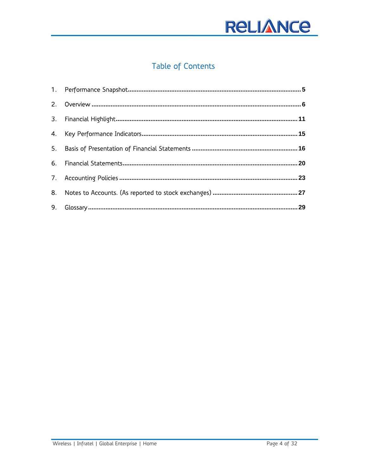### Table of Contents

| 9 <sub>1</sub> |  |
|----------------|--|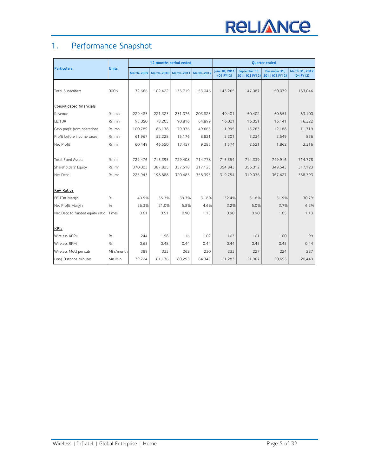## 1. Performance Snapshot

|                                 |              |                   | 12 months period ended |                   |                   |                              | <b>Quarter ended</b>            |                                |                             |  |
|---------------------------------|--------------|-------------------|------------------------|-------------------|-------------------|------------------------------|---------------------------------|--------------------------------|-----------------------------|--|
| <b>Particulars</b>              | <b>Units</b> | <b>March-2009</b> | March-2010             | <b>March-2011</b> | <b>March-2012</b> | June 30, 2011<br>$(Q1$ FY12) | September 30,<br>2011 (Q2 FY12) | December 31,<br>2011 (03 FY12) | March 31, 2012<br>(04 FY12) |  |
| <b>Total Subscribers</b>        | 000's        | 72.666            | 102.422                | 135.719           | 153.046           | 143,265                      | 147,087                         | 150,079                        | 153,046                     |  |
| Consolidated financials         |              |                   |                        |                   |                   |                              |                                 |                                |                             |  |
| Revenue                         | Rs. mn       | 229.485           | 221.323                | 231.076           | 203.823           | 49.401                       | 50.402                          | 50.551                         | 53,100                      |  |
| <b>EBITDA</b>                   | Rs. mn       | 93.050            | 78,205                 | 90.816            | 64,899            | 16,021                       | 16,051                          | 16,141                         | 16,322                      |  |
| Cash profit from operations     | Rs. mn       | 100,789           | 86,138                 | 79,976            | 49,665            | 11,995                       | 13,763                          | 12,188                         | 11,719                      |  |
| Profit before income taxes      | Rs. mn       | 61,967            | 52,228                 | 15,176            | 8,821             | 2,201                        | 3,234                           | 2,549                          | 836                         |  |
| Net Profit                      | Rs. mn       | 60,449            | 46,550                 | 13,457            | 9,285             | 1,574                        | 2,521                           | 1,862                          | 3,316                       |  |
| <b>Total Fixed Assets</b>       | Rs. mn       | 729.476           | 715,395                | 729,408           | 714,778           | 715,354                      | 714,339                         | 749,916                        | 714,778                     |  |
| Shareholders' Equity            | Rs. mn       | 370,003           | 387,825                | 357,518           | 317,123           | 354,843                      | 356,012                         | 349,543                        | 317,123                     |  |
| Net Debt                        | Rs. mn       | 225,943           | 198,888                | 320,485           | 358,393           | 319,754                      | 319,036                         | 367,627                        | 358,393                     |  |
| <b>Key Ratios</b>               |              |                   |                        |                   |                   |                              |                                 |                                |                             |  |
| <b>EBITDA Margin</b>            | %            | 40.5%             | 35.3%                  | 39.3%             | 31.8%             | 32.4%                        | 31.8%                           | 31.9%                          | 30.7%                       |  |
| Net Profit Margin               | %            | 26.3%             | 21.0%                  | 5.8%              | 4.6%              | 3.2%                         | 5.0%                            | 3.7%                           | 6.2%                        |  |
| Net Debt to funded equity ratio | Times        | 0.61              | 0.51                   | 0.90              | 1.13              | 0.90                         | 0.90                            | 1.05                           | 1.13                        |  |
| <b>KPIs</b>                     |              |                   |                        |                   |                   |                              |                                 |                                |                             |  |
| <b>Wireless APRU</b>            | Rs.          | 244               | 158                    | 116               | 102               | 103                          | 101                             | 100                            | 99                          |  |
| Wireless RPM                    | Rs.          | 0.63              | 0.48                   | 0.44              | 0.44              | 0.44                         | 0.45                            | 0.45                           | 0.44                        |  |
| Wireless MoU per sub            | Min/month    | 389               | 333                    | 262               | 230               | 233                          | 227                             | 224                            | 227                         |  |
| Long Distance Minutes           | Mn Min       | 39,724            | 61,136                 | 80,293            | 84,343            | 21,283                       | 21,967                          | 20,653                         | 20,440                      |  |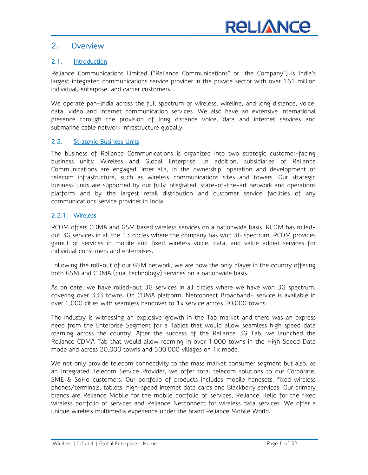### 2. Overview

### 2.1. Introduction

Reliance Communications Limited ("Reliance Communications" or "the Company") is India's largest integrated communications service provider in the private sector with over 161 million individual, enterprise, and carrier customers.

We operate pan-India across the full spectrum of wireless, wireline, and long distance, voice, data, video and internet communication services. We also have an extensive international presence through the provision of long distance voice, data and internet services and submarine cable network infrastructure globally.

### 2.2. Strategic Business Units

The business of Reliance Communications is organized into two strategic customer-facing business units: Wireless and Global Enterprise. In addition, subsidiaries of Reliance Communications are engaged, inter alia, in the ownership, operation and development of telecom infrastructure, such as wireless communications sites and towers. Our strategic business units are supported by our fully integrated, state-of-the-art network and operations platform and by the largest retail distribution and customer service facilities of any communications service provider in India.

### 2.2.1. Wireless

RCOM offers CDMA and GSM based wireless services on a nationwide basis. RCOM has rolledout 3G services in all the 13 circles where the company has won 3G spectrum. RCOM provides gamut of services in mobile and fixed wireless voice, data, and value added services for individual consumers and enterprises.

Following the roll-out of our GSM network, we are now the only player in the country offering both GSM and CDMA (dual technology) services on a nationwide basis.

As on date, we have rolled-out 3G services in all circles where we have won 3G spectrum, covering over 333 towns. On CDMA platform, Netconnect Broadband+ service is available in over 1,000 cities with seamless handover to 1x service across 20,000 towns.

The industry is witnessing an explosive growth in the Tab market and there was an express need from the Enterprise Segment for a Tablet that would allow seamless high speed data roaming across the country. After the success of the Reliance 3G Tab, we launched the Reliance CDMA Tab that would allow roaming in over 1,000 towns in the High Speed Data mode and across 20,000 towns and 500,000 villages on 1x mode.

We not only provide telecom connectivity to the mass market consumer segment but also, as an Integrated Telecom Service Provider, we offer total telecom solutions to our Corporate, SME & SoHo customers. Our portfolio of products includes mobile handsets, fixed wireless phones/terminals, tablets, high-speed internet data cards and Blackberry services. Our primary brands are Reliance Mobile for the mobile portfolio of services, Reliance Hello for the fixed wireless portfolio of services and Reliance Netconnect for wireless data services. We offer a unique wireless multimedia experience under the brand Reliance Mobile World.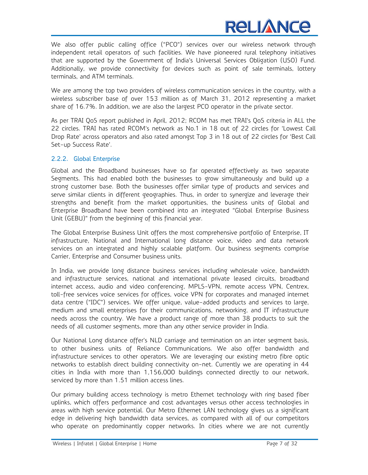We also offer public calling office ("PCO") services over our wireless network through independent retail operators of such facilities. We have pioneered rural telephony initiatives that are supported by the Government of India's Universal Services Obligation (USO) Fund. Additionally, we provide connectivity for devices such as point of sale terminals, lottery terminals, and ATM terminals.

We are among the top two providers of wireless communication services in the country, with a wireless subscriber base of over 153 million as of March 31, 2012 representing a market share of 16.7%. In addition, we are also the largest PCO operator in the private sector.

As per TRAI QoS report published in April, 2012; RCOM has met TRAI's QoS criteria in ALL the 22 circles. TRAI has rated RCOM's network as No.1 in 18 out of 22 circles for 'Lowest Call Drop Rate' across operators and also rated amongst Top 3 in 18 out of 22 circles for 'Best Call Set-up Success Rate'.

### 2.2.2. Global Enterprise

Global and the Broadband businesses have so far operated effectively as two separate Segments. This had enabled both the businesses to grow simultaneously and build up a strong customer base. Both the businesses offer similar type of products and services and serve similar clients in different geographies. Thus, in order to synergize and leverage their strengths and benefit from the market opportunities, the business units of Global and Enterprise Broadband have been combined into an integrated "Global Enterprise Business Unit (GEBU)" from the beginning of this financial year.

The Global Enterprise Business Unit offers the most comprehensive portfolio of Enterprise, IT infrastructure, National and International long distance voice, video and data network services on an integrated and highly scalable platform. Our business segments comprise Carrier, Enterprise and Consumer business units.

In India, we provide long distance business services including wholesale voice, bandwidth and infrastructure services, national and international private leased circuits, broadband internet access, audio and video conferencing, MPLS-VPN, remote access VPN, Centrex, toll-free services voice services for offices, voice VPN for corporates and managed internet data centre ("IDC") services. We offer unique, value-added products and services to large, medium and small enterprises for their communications, networking, and IT infrastructure needs across the country. We have a product range of more than 38 products to suit the needs of all customer segments, more than any other service provider in India.

Our National Long distance offer's NLD carriage and termination on an inter segment basis, to other business units of Reliance Communications. We also offer bandwidth and infrastructure services to other operators. We are leveraging our existing metro fibre optic networks to establish direct building connectivity on-net. Currently we are operating in 44 cities in India with more than 1,156,000 buildings connected directly to our network, serviced by more than 1.51 million access lines.

Our primary building access technology is metro Ethernet technology with ring based fiber uplinks, which offers performance and cost advantages versus other access technologies in areas with high service potential. Our Metro Ethernet LAN technology gives us a significant edge in delivering high bandwidth data services, as compared with all of our competitors who operate on predominantly copper networks. In cities where we are not currently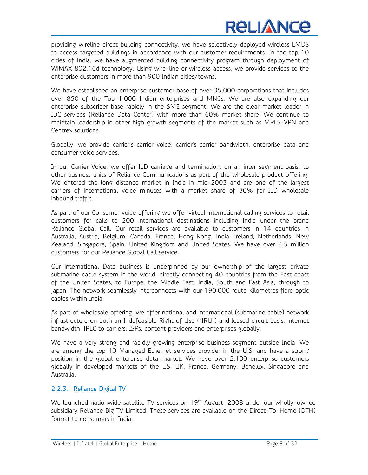providing wireline direct building connectivity, we have selectively deployed wireless LMDS to access targeted buildings in accordance with our customer requirements. In the top 10 cities of India, we have augmented building connectivity program through deployment of WiMAX 802.16d technology. Using wire-line or wireless access, we provide services to the enterprise customers in more than 900 Indian cities/towns.

We have established an enterprise customer base of over 35,000 corporations that includes over 850 of the Top 1,000 Indian enterprises and MNCs. We are also expanding our enterprise subscriber base rapidly in the SME segment. We are the clear market leader in IDC services (Reliance Data Center) with more than 60% market share. We continue to maintain leadership in other high growth segments of the market such as MPLS-VPN and Centrex solutions.

Globally, we provide carrier's carrier voice, carrier's carrier bandwidth, enterprise data and consumer voice services.

In our Carrier Voice, we offer ILD carriage and termination, on an inter segment basis, to other business units of Reliance Communications as part of the wholesale product offering. We entered the long distance market in India in mid-2003 and are one of the largest carriers of international voice minutes with a market share of 30% for ILD wholesale inbound traffic.

As part of our Consumer voice offering we offer virtual international calling services to retail customers for calls to 200 international destinations including India under the brand Reliance Global Call. Our retail services are available to customers in 14 countries in Australia, Austria, Belgium, Canada, France, Hong Kong, India, Ireland, Netherlands, New Zealand, Singapore, Spain, United Kingdom and United States. We have over 2.5 million customers for our Reliance Global Call service.

Our international Data business is underpinned by our ownership of the largest private submarine cable system in the world, directly connecting 40 countries from the East coast of the United States, to Europe, the Middle East, India, South and East Asia, through to Japan. The network seamlessly interconnects with our 190,000 route Kilometres fibre optic cables within India.

As part of wholesale offering, we offer national and international (submarine cable) network infrastructure on both an Indefeasible Right of Use ("IRU") and leased circuit basis, internet bandwidth, IPLC to carriers, ISPs, content providers and enterprises globally.

We have a very strong and rapidly growing enterprise business segment outside India. We are among the top 10 Managed Ethernet services provider in the U.S. and have a strong position in the global enterprise data market. We have over 2,100 enterprise customers globally in developed markets of the US, UK, France, Germany, Benelux, Singapore and Australia.

### 2.2.3. Reliance Digital TV

We launched nationwide satellite TV services on  $19<sup>th</sup>$  August, 2008 under our wholly-owned subsidiary Reliance Big TV Limited. These services are available on the Direct-To-Home (DTH) format to consumers in India.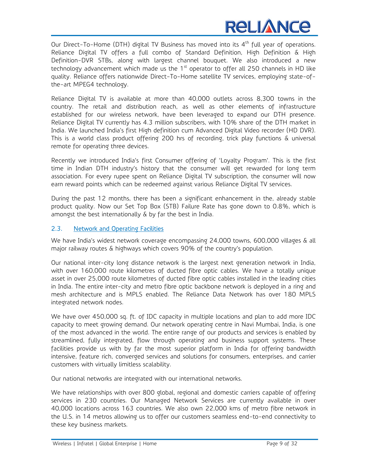Our Direct-To-Home (DTH) digital TV Business has moved into its  $4<sup>th</sup>$  full year of operations. Reliance Digital TV offers a full combo of Standard Definition, High Definition & High Definition-DVR STBs, along with largest channel bouquet. We also introduced a new technology advancement which made us the  $1<sup>st</sup>$  operator to offer all 250 channels in HD like quality. Reliance offers nationwide Direct-To-Home satellite TV services, employing state-ofthe-art MPEG4 technology.

Reliance Digital TV is available at more than 40,000 outlets across 8,300 towns in the country. The retail and distribution reach, as well as other elements of infrastructure established for our wireless network, have been leveraged to expand our DTH presence. Reliance Digital TV currently has 4.3 million subscribers, with 10% share of the DTH market in India. We launched India's first High definition cum Advanced Digital Video recorder (HD DVR). This is a world class product offering 200 hrs of recording, trick play functions & universal remote for operating three devices.

Recently we introduced India's first Consumer offering of 'Loyalty Program'. This is the first time in Indian DTH industry's history that the consumer will get rewarded for long term association. For every rupee spent on Reliance Digital TV subscription, the consumer will now earn reward points which can be redeemed against various Reliance Digital TV services.

During the past 12 months, there has been a significant enhancement in the, already stable product quality. Now our Set Top Box (STB) Failure Rate has gone down to 0.8%, which is amongst the best internationally & by far the best in India.

### 2.3. Network and Operating Facilities

We have India's widest network coverage encompassing 24,000 towns, 600,000 villages & all major railway routes & highways which covers 90% of the country's population.

Our national inter-city long distance network is the largest next generation network in India, with over 160,000 route kilometres of ducted fibre optic cables. We have a totally unique asset in over 25,000 route kilometres of ducted fibre optic cables installed in the leading cities in India. The entire inter-city and metro fibre optic backbone network is deployed in a ring and mesh architecture and is MPLS enabled. The Reliance Data Network has over 180 MPLS integrated network nodes.

We have over 450,000 sq. ft. of IDC capacity in multiple locations and plan to add more IDC capacity to meet growing demand. Our network operating centre in Navi Mumbai, India, is one of the most advanced in the world. The entire range of our products and services is enabled by streamlined, fully integrated, flow through operating and business support systems. These facilities provide us with by far the most superior platform in India for offering bandwidth intensive, feature rich, converged services and solutions for consumers, enterprises, and carrier customers with virtually limitless scalability.

Our national networks are integrated with our international networks.

We have relationships with over 800 global, regional and domestic carriers capable of offering services in 230 countries. Our Managed Network Services are currently available in over 40,000 locations across 163 countries. We also own 22,000 kms of metro fibre network in the U.S. in 14 metros allowing us to offer our customers seamless end-to-end connectivity to these key business markets.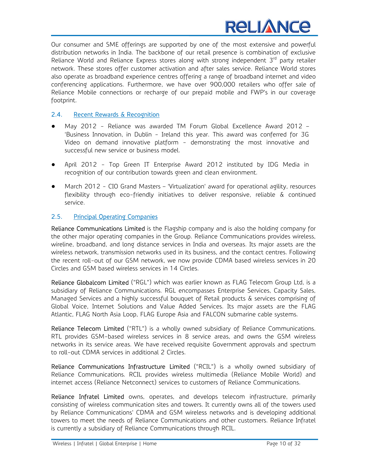Our consumer and SME offerings are supported by one of the most extensive and powerful distribution networks in India. The backbone of our retail presence is combination of exclusive Reliance World and Reliance Express stores along with strong independent 3<sup>rd</sup> party retailer network. These stores offer customer activation and after sales service. Reliance World stores also operate as broadband experience centres offering a range of broadband internet and video conferencing applications. Furthermore, we have over 900,000 retailers who offer sale of Reliance Mobile connections or recharge of our prepaid mobile and FWP's in our coverage footprint.

### 2.4. Recent Rewards & Recognition

- May 2012 Reliance was awarded TM Forum Global Excellence Award 2012 'Business Innovation, in Dublin - Ireland this year. This award was conferred for 3G Video on demand innovative platform - demonstrating the most innovative and successful new service or business model.
- April 2012 Top Green IT Enterprise Award 2012 instituted by IDG Media in recognition of our contribution towards green and clean environment.
- March 2012 CIO Grand Masters 'Virtualization' award for operational agility, resources flexibility through eco-friendly initiatives to deliver responsive, reliable & continued service.

### 2.5. Principal Operating Companies

Reliance Communications Limited is the Flagship company and is also the holding company for the other major operating companies in the Group. Reliance Communications provides wireless, wireline, broadband, and long distance services in India and overseas. Its major assets are the wireless network, transmission networks used in its business, and the contact centres. Following the recent roll-out of our GSM network, we now provide CDMA based wireless services in 20 Circles and GSM based wireless services in 14 Circles.

Reliance Globalcom Limited ("RGL") which was earlier known as FLAG Telecom Group Ltd, is a subsidiary of Reliance Communications. RGL encompasses Enterprise Services, Capacity Sales, Managed Services and a highly successful bouquet of Retail products & services comprising of Global Voice, Internet Solutions and Value Added Services. Its major assets are the FLAG Atlantic, FLAG North Asia Loop, FLAG Europe Asia and FALCON submarine cable systems.

Reliance Telecom Limited ("RTL") is a wholly owned subsidiary of Reliance Communications. RTL provides GSM-based wireless services in 8 service areas, and owns the GSM wireless networks in its service areas. We have received requisite Government approvals and spectrum to roll-out CDMA services in additional 2 Circles.

Reliance Communications Infrastructure Limited ("RCIL") is a wholly owned subsidiary of Reliance Communications. RCIL provides wireless multimedia (Reliance Mobile World) and internet access (Reliance Netconnect) services to customers of Reliance Communications.

Reliance Infratel Limited owns, operates, and develops telecom infrastructure, primarily consisting of wireless communication sites and towers. It currently owns all of the towers used by Reliance Communications' CDMA and GSM wireless networks and is developing additional towers to meet the needs of Reliance Communications and other customers. Reliance Infratel is currently a subsidiary of Reliance Communications through RCIL.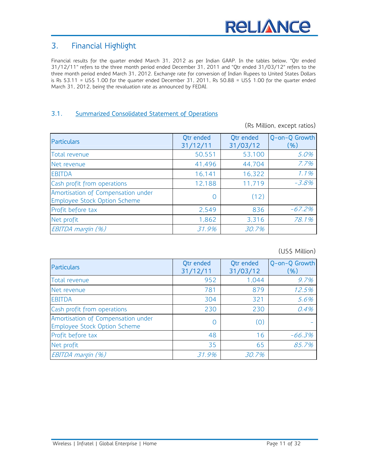### 3. Financial Highlight

Financial results for the quarter ended March 31, 2012 as per Indian GAAP. In the tables below, "Qtr ended 31/12/11" refers to the three month period ended December 31, 2011 and "Qtr ended 31/03/12" refers to the three month period ended March 31, 2012. Exchange rate for conversion of Indian Rupees to United States Dollars is Rs 53.11 = US\$ 1.00 for the quarter ended December 31, 2011, Rs 50.88 = US\$ 1.00 for the quarter ended March 31, 2012, being the revaluation rate as announced by FEDAI.

### 3.1. Summarized Consolidated Statement of Operations

(Rs Million, except ratios)

| <b>Particulars</b>                                                 | Otr ended<br>31/12/11 | Otr ended<br>31/03/12 | Q-on-Q Growth<br>(%) |
|--------------------------------------------------------------------|-----------------------|-----------------------|----------------------|
| Total revenue                                                      | 50,551                | 53,100                | 5.0%                 |
| Net revenue                                                        | 41,496                | 44,704                | 7.7%                 |
| <b>EBITDA</b>                                                      | 16,141                | 16,322                | 1.1%                 |
| Cash profit from operations                                        | 12,188                | 11,719                | $-3.8%$              |
| Amortisation of Compensation under<br>Employee Stock Option Scheme | O                     | (12)                  |                      |
| Profit before tax                                                  | 2,549                 | 836                   | $-67.2%$             |
| Net profit                                                         | 1,862                 | 3,316                 | 78.1%                |
| EBITDA margin (%)                                                  | 31.9%                 | 30.7%                 |                      |

(US\$ Million)

| <b>Particulars</b>                                                        | <b>Qtr</b> ended<br>31/12/11 | <b>Qtr</b> ended<br>31/03/12 | Q-on-Q Growth<br>(%) |
|---------------------------------------------------------------------------|------------------------------|------------------------------|----------------------|
| Total revenue                                                             | 952                          | 1,044                        | 9.7%                 |
| Net revenue                                                               | 781                          | 879                          | 12.5%                |
| <b>EBITDA</b>                                                             | 304                          | 321                          | 5.6%                 |
| Cash profit from operations                                               | 230                          | 230                          | 0.4%                 |
| Amortisation of Compensation under<br><b>Employee Stock Option Scheme</b> | O                            | (0)                          |                      |
| Profit before tax                                                         | 48                           | 16                           | $-66.3%$             |
| Net profit                                                                | 35                           | 65                           | 85.7%                |
| EBITDA margin (%)                                                         | 31.9%                        | 30.7%                        |                      |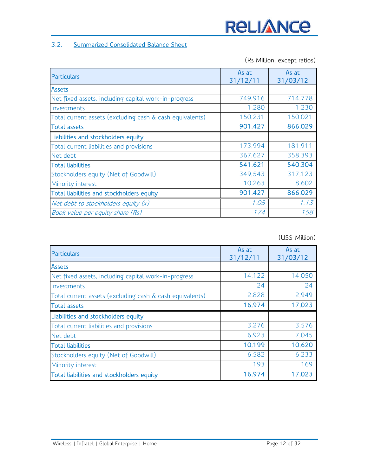### 3.2. Summarized Consolidated Balance Sheet

(Rs Million, except ratios)

| <b>Particulars</b>                                       | As at<br>31/12/11 | As at<br>31/03/12 |
|----------------------------------------------------------|-------------------|-------------------|
| <b>Assets</b>                                            |                   |                   |
| Net fixed assets, including capital work-in-progress     | 749,916           | 714,778           |
| Investments                                              | 1,280             | 1,230             |
| Total current assets (excluding cash & cash equivalents) | 150,231           | 150,021           |
| <b>Total assets</b>                                      | 901,427           | 866,029           |
| Liabilities and stockholders equity                      |                   |                   |
| Total current liabilities and provisions                 | 173,994           | 181,911           |
| Net debt                                                 | 367,627           | 358,393           |
| <b>Total liabilities</b>                                 | 541,621           | 540,304           |
| Stockholders equity (Net of Goodwill)                    | 349,543           | 317,123           |
| Minority interest                                        | 10,263            | 8,602             |
| Total liabilities and stockholders equity                | 901,427           | 866,029           |
| Net debt to stockholders equity $(x)$                    | 1.05              | 1.13              |
| Book value per equity share (Rs)                         | 174               | 158               |

(US\$ Million)

| Particulars                                              | As at<br>31/12/11 | As at<br>31/03/12 |
|----------------------------------------------------------|-------------------|-------------------|
| <b>Assets</b>                                            |                   |                   |
| Net fixed assets, including capital work-in-progress     | 14,122            | 14,050            |
| Investments                                              | 24                | 24                |
| Total current assets (excluding cash & cash equivalents) | 2,828             | 2,949             |
| <b>Total assets</b>                                      | 16,974            | 17,023            |
| Liabilities and stockholders equity                      |                   |                   |
| Total current liabilities and provisions                 | 3,276             | 3,576             |
| Net debt                                                 | 6,923             | 7,045             |
| <b>Total liabilities</b>                                 | 10,199            | 10,620            |
| Stockholders equity (Net of Goodwill)                    | 6,582             | 6,233             |
| Minority interest                                        | 193               | 169               |
| Total liabilities and stockholders equity                | 16,974            | 17,023            |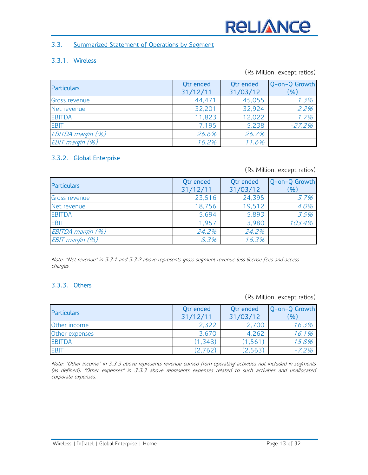### 3.3. Summarized Statement of Operations by Segment

#### 3.3.1. Wireless

(Rs Million, except ratios)

| Particulars       | <b>Qtr</b> ended<br>31/12/11 | <b>Qtr</b> ended<br>31/03/12 | Q-on-Q Growth<br>(%) |
|-------------------|------------------------------|------------------------------|----------------------|
| Gross revenue     | 44,471                       | 45,055                       | 1.3%                 |
| Net revenue       | 32,201                       | 32,924                       | 2.2%                 |
| <b>EBITDA</b>     | 11,823                       | 12,022                       | 1.7%                 |
| <b>EBIT</b>       | 7,195                        | 5,238                        | $-27.2%$             |
| EBITDA margin (%) | 26.6%                        | 26.7%                        |                      |
| EBIT margin (%)   | 16.2%                        | 11.6%                        |                      |

### 3.3.2. Global Enterprise

(Rs Million, except ratios)

| <b>Particulars</b> | Qtr ended<br>31/12/11 | Qtr ended<br>31/03/12 | Q-on-Q Growth<br>(%) |
|--------------------|-----------------------|-----------------------|----------------------|
| Gross revenue      | 23,516                | 24,395                | 3.7%                 |
| Net revenue        | 18,756                | 19.512                | 4.0%                 |
| <b>EBITDA</b>      | 5,694                 | 5,893                 | 3.5%                 |
| <b>EBIT</b>        | 1.957                 | 3,980                 | 103.4%               |
| EBITDA margin (%)  | 24.2%                 | 24.2%                 |                      |
| EBIT margin (%)    | 8.3%                  | 16.3%                 |                      |

Note: "Net revenue" in 3.3.1 and 3.3.2 above represents gross segment revenue less license fees and access charges.

### 3.3.3. Others

(Rs Million, except ratios)

| <b>Particulars</b> | <b>Qtr</b> ended<br>31/12/11 | <b>Qtr</b> ended<br>31/03/12 | Q-on-Q Growth<br>$(\% )$ |
|--------------------|------------------------------|------------------------------|--------------------------|
| Other income       | 2,322                        | 2,700                        | 16.3%                    |
| Other expenses     | 3,670                        | 4,262                        | 16.1%                    |
| <b>EBITDA</b>      | (1,348)                      | (1, 561)                     | 15.8%                    |
| <b>EBIT</b>        | (2,762)                      | (2, 563)                     | $-7.2%$                  |

Note: "Other income" in 3.3.3 above represents revenue earned from operating activities not included in segments (as defined). "Other expenses" in 3.3.3 above represents expenses related to such activities and unallocated corporate expenses.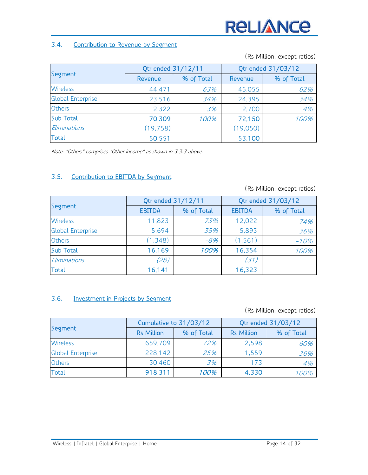### 3.4. Contribution to Revenue by Segment

(Rs Million, except ratios)

|                          | Qtr ended 31/12/11 |            |          | Qtr ended 31/03/12 |
|--------------------------|--------------------|------------|----------|--------------------|
| Segment                  | Revenue            | % of Total | Revenue  | % of Total         |
| <b>Wireless</b>          | 44,471             | 63%        | 45,055   | 62%                |
| <b>Global Enterprise</b> | 23,516             | 34%        | 24,395   | 34%                |
| <b>Others</b>            | 2,322              | 3%         | 2,700    | 4%                 |
| <b>Sub Total</b>         | 70,309             | 100%       | 72,150   | 100%               |
| Eliminations             | (19, 758)          |            | (19,050) |                    |
| <b>Total</b>             | 50,551             |            | 53,100   |                    |

Note: "Others" comprises "Other income" as shown in 3.3.3 above.

### 3.5. Contribution to EBITDA by Segment

(Rs Million, except ratios)

|                          | Qtr ended 31/12/11 |            | Qtr ended 31/03/12 |            |  |
|--------------------------|--------------------|------------|--------------------|------------|--|
| Segment                  | <b>EBITDA</b>      | % of Total | <b>EBITDA</b>      | % of Total |  |
| <b>Wireless</b>          | 11,823             | 73%        | 12,022             | 74%        |  |
| <b>Global Enterprise</b> | 5,694              | 35%        | 5,893              | 36%        |  |
| <b>Others</b>            | (1,348)            | $-8%$      | (1, 561)           | $-10%$     |  |
| <b>Sub Total</b>         | 16,169             | 100%       | 16,354             | 100%       |  |
| Eliminations             | (28)               |            | (31)               |            |  |
| <b>Total</b>             | 16,141             |            | 16,323             |            |  |

### 3.6. Investment in Projects by Segment

(Rs Million, except ratios)

|                          | Cumulative to 31/03/12 |            |                   | Qtr ended 31/03/12 |
|--------------------------|------------------------|------------|-------------------|--------------------|
| Segment                  | <b>Rs Million</b>      | % of Total | <b>Rs Million</b> | % of Total         |
| <b>Wireless</b>          | 659,709                | 72%        | 2,598             | 60%                |
| <b>Global Enterprise</b> | 228,142                | 25%        | 1,559             | 36%                |
| <b>Others</b>            | 30,460                 | 3%         | 173               | 4%                 |
| <b>Total</b>             | 918,311                | 100%       | 4,330             | <i>100%</i>        |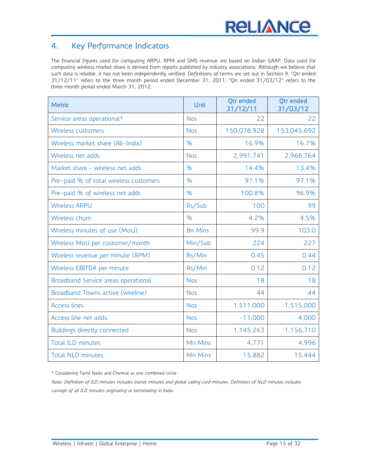### 4. Key Performance Indicators

The financial figures used for computing ARPU, RPM and SMS revenue are based on Indian GAAP. Data used for computing wireless market share is derived from reports published by industry associations. Although we believe that such data is reliable, it has not been independently verified. Definitions of terms are set out in Section 9. "Qtr ended 31/12/11" refers to the three month period ended December 31, 2011; "Qtr ended 31/03/12" refers to the three month period ended March 31, 2012.

| <b>Metric</b>                          | <b>Unit</b>    | Otr ended<br>31/12/11 | Otr ended<br>31/03/12 |
|----------------------------------------|----------------|-----------------------|-----------------------|
| Service areas operational*             | <b>Nos</b>     | 22                    | 22                    |
| Wireless customers                     | <b>Nos</b>     | 150,078,928           | 153,045,692           |
| Wireless market share (All-India)      | %              | 16.9%                 | 16.7%                 |
| Wireless net adds                      | <b>Nos</b>     | 2,991,741             | 2,966,764             |
| Market share - wireless net adds       | $\%$           | 14.4%                 | 13.4%                 |
| Pre-paid % of total wireless customers | %              | 97.1%                 | 97.1%                 |
| Pre-paid % of wireless net adds        | $\%$           | 100.8%                | 96.9%                 |
| <b>Wireless ARPU</b>                   | Rs/Sub         | 100                   | 99                    |
| Wireless churn                         | $\%$           | 4.2%                  | 4.5%                  |
| Wireless minutes of use (MoU)          | <b>Bn Mins</b> | 99.9                  | 103.0                 |
| Wireless MoU per customer/month        | Min/Sub        | 224                   | 227                   |
| Wireless revenue per minute (RPM)      | Rs/Min         | 0.45                  | 0.44                  |
| Wireless EBITDA per minute             | Rs/Min         | 0.12                  | 0.12                  |
| Broadband Service areas operational    | <b>Nos</b>     | 18                    | 18                    |
| Broadband Towns active (wireline)      | <b>Nos</b>     | 44                    | 44                    |
| <b>Access lines</b>                    | <b>Nos</b>     | 1,511,000             | 1,515,000             |
| Access line net adds                   | <b>Nos</b>     | $-11,000$             | 4,000                 |
| Buildings directly connected           | <b>Nos</b>     | 1,145,263             | 1,156,710             |
| <b>Total ILD minutes</b>               | Mn Mins        | 4,771                 | 4,996                 |
| <b>Total NLD minutes</b>               | Mn Mins        | 15,882                | 15,444                |

\* Considering Tamil Nadu and Chennai as one combined circle

Note: Definition of ILD minutes includes transit minutes and global calling card minutes. Definition of NLD minutes includes carriage of all ILD minutes originating or terminating in India.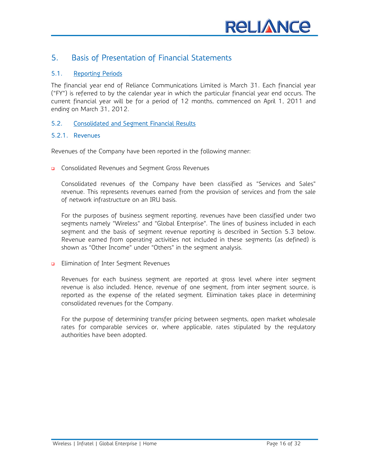### 5. Basis of Presentation of Financial Statements

### 5.1. Reporting Periods

The financial year end of Reliance Communications Limited is March 31. Each financial year ("FY") is referred to by the calendar year in which the particular financial year end occurs. The current financial year will be for a period of 12 months, commenced on April 1, 2011 and ending on March 31, 2012.

### 5.2. Consolidated and Segment Financial Results

#### 5.2.1. Revenues

Revenues of the Company have been reported in the following manner:

**Q** Consolidated Revenues and Segment Gross Revenues

Consolidated revenues of the Company have been classified as "Services and Sales" revenue. This represents revenues earned from the provision of services and from the sale of network infrastructure on an IRU basis.

For the purposes of business segment reporting, revenues have been classified under two segments namely "Wireless" and "Global Enterprise". The lines of business included in each segment and the basis of segment revenue reporting is described in Section 5.3 below. Revenue earned from operating activities not included in these segments (as defined) is shown as "Other Income" under "Others" in the segment analysis.

**B** Elimination of Inter Segment Revenues

Revenues for each business segment are reported at gross level where inter segment revenue is also included. Hence, revenue of one segment, from inter segment source, is reported as the expense of the related segment. Elimination takes place in determining consolidated revenues for the Company.

For the purpose of determining transfer pricing between segments, open market wholesale rates for comparable services or, where applicable, rates stipulated by the regulatory authorities have been adopted.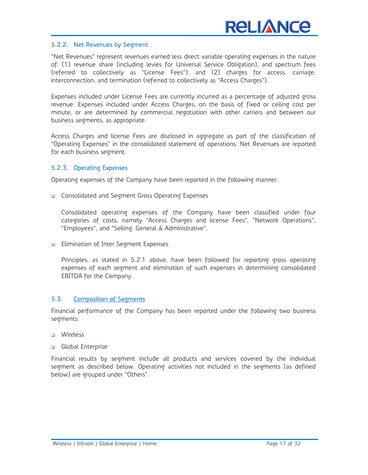#### 5.2.2. Net Revenues by Segment

"Net Revenues" represent revenues earned less direct variable operating expenses in the nature of: (1) revenue share (including levies for Universal Service Obligation), and spectrum fees (referred to collectively as "License Fees"); and (2) charges for access, carriage, interconnection, and termination (referred to collectively as "Access Charges").

Expenses included under License Fees are currently incurred as a percentage of adjusted gross revenue. Expenses included under Access Charges, on the basis of fixed or ceiling cost per minute, or are determined by commercial negotiation with other carriers and between our business segments, as appropriate.

Access Charges and license Fees are disclosed in aggregate as part of the classification of "Operating Expenses" in the consolidated statement of operations. Net Revenues are reported for each business segment.

#### 5.2.3. Operating Expenses

Operating expenses of the Company have been reported in the following manner:

**Q** Consolidated and Segment Gross Operating Expenses

Consolidated operating expenses of the Company have been classified under four categories of costs, namely "Access Charges and license Fees", "Network Operations", "Employees", and "Selling, General & Administrative".

**B** Elimination of Inter Segment Expenses

Principles, as stated in 5.2.1 above, have been followed for reporting gross operating expenses of each segment and elimination of such expenses in determining consolidated EBITDA for the Company.

#### 5.3. Composition of Segments

Financial performance of the Company has been reported under the following two business segments:

- **u** Wireless
- Global Enterprise

Financial results by segment include all products and services covered by the individual segment as described below. Operating activities not included in the segments (as defined below) are grouped under "Others".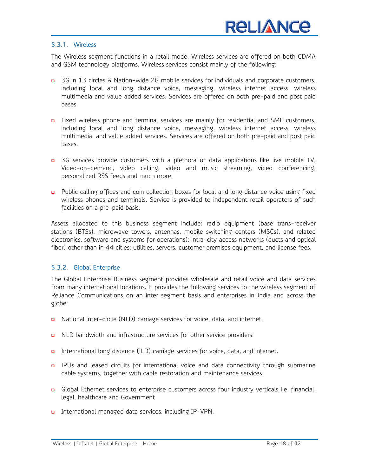### 5.3.1. Wireless

The Wireless segment functions in a retail mode. Wireless services are offered on both CDMA and GSM technology platforms. Wireless services consist mainly of the following:

- 3G in 13 circles & Nation-wide 2G mobile services for individuals and corporate customers, including local and long distance voice, messaging, wireless internet access, wireless multimedia and value added services. Services are offered on both pre-paid and post paid bases.
- Fixed wireless phone and terminal services are mainly for residential and SME customers, including local and long distance voice, messaging, wireless internet access, wireless multimedia, and value added services. Services are offered on both pre-paid and post paid bases.
- 3G services provide customers with a plethora of data applications like live mobile TV, Video-on-demand, video calling, video and music streaming, video conferencing, personalized RSS feeds and much more.
- Public calling offices and coin collection boxes for local and long distance voice using fixed wireless phones and terminals. Service is provided to independent retail operators of such facilities on a pre-paid basis.

Assets allocated to this business segment include: radio equipment (base trans-receiver stations (BTSs), microwave towers, antennas, mobile switching centers (MSCs), and related electronics, software and systems for operations); intra-city access networks (ducts and optical fiber) other than in 44 cities; utilities, servers, customer premises equipment, and license fees.

### 5.3.2. Global Enterprise

The Global Enterprise Business segment provides wholesale and retail voice and data services from many international locations. It provides the following services to the wireless segment of Reliance Communications on an inter segment basis and enterprises in India and across the globe:

- National inter-circle (NLD) carriage services for voice, data, and internet.
- **D** NLD bandwidth and infrastructure services for other service providers.
- International long distance (ILD) carriage services for voice, data, and internet.
- IRUs and leased circuits for international voice and data connectivity through submarine cable systems, together with cable restoration and maintenance services.
- Global Ethernet services to enterprise customers across four industry verticals i.e. financial, legal, healthcare and Government
- International managed data services, including IP-VPN.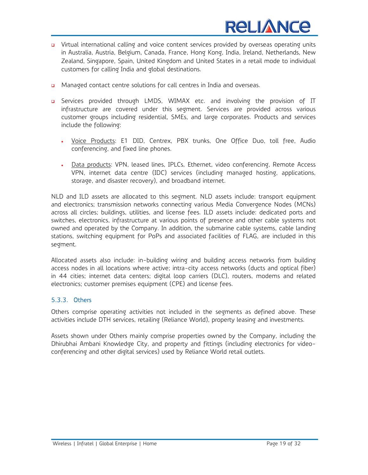- Virtual international calling and voice content services provided by overseas operating units in Australia, Austria, Belgium, Canada, France, Hong Kong, India, Ireland, Netherlands, New Zealand, Singapore, Spain, United Kingdom and United States in a retail mode to individual customers for calling India and global destinations.
- **Q** Managed contact centre solutions for call centres in India and overseas.
- Services provided through LMDS, WIMAX etc. and involving the provision of IT infrastructure are covered under this segment. Services are provided across various customer groups including residential, SMEs, and large corporates. Products and services include the following:
	- Voice Products: E1 DID, Centrex, PBX trunks, One Office Duo, toll free, Audio conferencing, and fixed line phones.
	- Data products: VPN, leased lines, IPLCs, Ethernet, video conferencing, Remote Access VPN, internet data centre (IDC) services (including managed hosting, applications, storage, and disaster recovery), and broadband internet.

NLD and ILD assets are allocated to this segment. NLD assets include: transport equipment and electronics; transmission networks connecting various Media Convergence Nodes (MCNs) across all circles; buildings, utilities, and license fees. ILD assets include: dedicated ports and switches, electronics, infrastructure at various points of presence and other cable systems not owned and operated by the Company. In addition, the submarine cable systems, cable landing stations, switching equipment for PoPs and associated facilities of FLAG, are included in this segment.

Allocated assets also include: in-building wiring and building access networks from building access nodes in all locations where active; intra-city access networks (ducts and optical fiber) in 44 cities; internet data centers; digital loop carriers (DLC), routers, modems and related electronics; customer premises equipment (CPE) and license fees.

### 5.3.3. Others

Others comprise operating activities not included in the segments as defined above. These activities include DTH services, retailing (Reliance World), property leasing and investments.

Assets shown under Others mainly comprise properties owned by the Company, including the Dhirubhai Ambani Knowledge City, and property and fittings (including electronics for videoconferencing and other digital services) used by Reliance World retail outlets.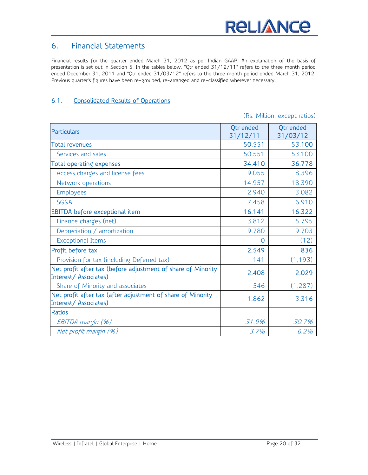### 6. Financial Statements

Financial results for the quarter ended March 31, 2012 as per Indian GAAP. An explanation of the basis of presentation is set out in Section 5. In the tables below, "Qtr ended 31/12/11" refers to the three month period ended December 31, 2011 and "Qtr ended 31/03/12" refers to the three month period ended March 31, 2012. Previous quarter's figures have been re-grouped, re-arranged and re-classified wherever necessary.

### 6.1. Consolidated Results of Operations

### (Rs. Million, except ratios) Particulars **Particulars** Contract Contract Contract Contract Contract Contract Contract Contract Contract Contra<br>Particulars Contract Contract Contract Contract Contract Contract Contract Contract Contract Contract Contra 31/12/11 Qtr ended 31/03/12 Total revenues 50,551 53,100 Services and sales 50,551 53,100 Total operating expenses 36,778 Access charges and license fees 1996 8,396 Network operations 14,957 18,390 Employees 2,940 3,082 SG&A 7,458 6,910 EBITDA before exceptional item 16,141 16,141 16,322 Finance charges (net) 3,812 5,795 Depreciation / amortization 19,703 9,703 Exceptional Items (12) (12) Profit before tax and the set of the set of the set of the set of the set of the set of the set of the set of the set of the set of the set of the set of the set of the set of the set of the set of the set of the set of th Provision for tax (including Deferred tax) 141 (1,193) Net profit after tax (before adjustment of share of Minority Interest/ Associates) 2,029 Interest/ Associates) Share of Minority and associates 546 (1,287) Net profit after tax (after adjustment of share of Minority Interest/ Associates) 1,862 3,316 Ratios EBITDA margin (%) 31.9% 30.7% Net profit margin (%) 3.7% 6.2%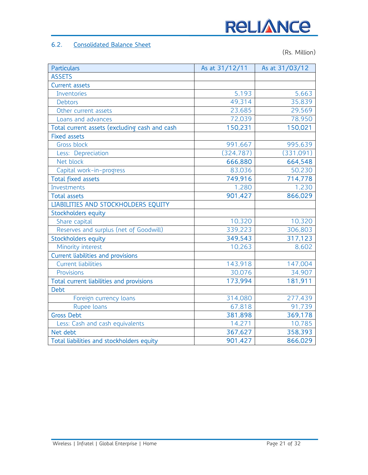### 6.2. Consolidated Balance Sheet

(Rs. Million)

| <b>Particulars</b>                            | As at 31/12/11 | As at 31/03/12 |
|-----------------------------------------------|----------------|----------------|
| <b>ASSETS</b>                                 |                |                |
| <b>Current assets</b>                         |                |                |
| Inventories                                   | 5,193          | 5,663          |
| <b>Debtors</b>                                | 49,314         | 35,839         |
| Other current assets                          | 23,685         | 29,569         |
| Loans and advances                            | 72,039         | 78,950         |
| Total current assets (excluding cash and cash | 150,231        | 150,021        |
| <b>Fixed assets</b>                           |                |                |
| <b>Gross block</b>                            | 991,667        | 995,639        |
| Less: Depreciation                            | (324, 787)     | (331,091)      |
| Net block                                     | 666,880        | 664,548        |
| Capital work-in-progress                      | 83,036         | 50,230         |
| <b>Total fixed assets</b>                     | 749,916        | 714,778        |
| Investments                                   | 1,280          | 1,230          |
| <b>Total assets</b>                           | 901,427        | 866,029        |
| LIABILITIES AND STOCKHOLDERS EQUITY           |                |                |
| <b>Stockholders equity</b>                    |                |                |
| Share capital                                 | 10,320         | 10,320         |
| Reserves and surplus (net of Goodwill)        | 339,223        | 306,803        |
| <b>Stockholders equity</b>                    | 349,543        | 317,123        |
| Minority interest                             | 10,263         | 8,602          |
| Current liabilities and provisions            |                |                |
| Current liabilities                           | 143,918        | 147,004        |
| Provisions                                    | 30,076         | 34,907         |
| Total current liabilities and provisions      | 173,994        | 181,911        |
| <b>Debt</b>                                   |                |                |
| Foreign currency loans                        | 314,080        | 277,439        |
| Rupee loans                                   | 67,818         | 91,739         |
| <b>Gross Debt</b>                             | 381,898        | 369,178        |
| Less: Cash and cash equivalents               | 14,271         | 10,785         |
| Net debt                                      | 367,627        | 358,393        |
| Total liabilities and stockholders equity     | 901,427        | 866,029        |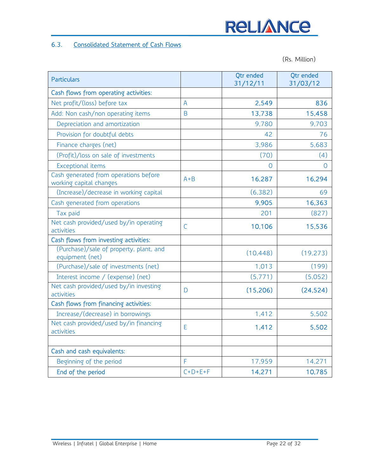### 6.3. Consolidated Statement of Cash Flows

(Rs. Million)

| <b>Particulars</b>                                               |                | <b>Qtr</b> ended<br>31/12/11 | <b>Qtr</b> ended<br>31/03/12 |
|------------------------------------------------------------------|----------------|------------------------------|------------------------------|
| Cash flows from operating activities:                            |                |                              |                              |
| Net profit/(loss) before tax                                     | A              | 2,549                        | 836                          |
| Add: Non cash/non operating items                                | B              | 13,738                       | 15,458                       |
| Depreciation and amortization                                    |                | 9,780                        | 9,703                        |
| Provision for doubtful debts                                     |                | 42                           | 76                           |
| Finance charges (net)                                            |                | 3,986                        | 5,683                        |
| (Profit)/loss on sale of investments                             |                | (70)                         | (4)                          |
| Exceptional items                                                |                | $\Omega$                     | $\Omega$                     |
| Cash generated from operations before<br>working capital changes | $A + B$        | 16,287                       | 16,294                       |
| (Increase)/decrease in working capital                           |                | (6,382)                      | 69                           |
| Cash generated from operations                                   |                | 9,905                        | 16,363                       |
| Tax paid                                                         |                | 201                          | (827)                        |
| Net cash provided/used by/in operating<br>activities             | $\overline{C}$ | 10,106                       | 15,536                       |
| Cash flows from investing activities:                            |                |                              |                              |
| (Purchase)/sale of property, plant, and<br>equipment (net)       |                | (10, 448)                    | (19, 273)                    |
| (Purchase)/sale of investments (net)                             |                | 1,013                        | (199)                        |
| Interest income / (expense) (net)                                |                | (5,771)                      | (5,052)                      |
| Net cash provided/used by/in investing<br>activities             | D              | (15, 206)                    | (24, 524)                    |
| Cash flows from financing activities:                            |                |                              |                              |
| Increase/(decrease) in borrowings                                |                | 1,412                        | 5,502                        |
| Net cash provided/used by/in financing<br>activities             | E              | 1,412                        | 5,502                        |
|                                                                  |                |                              |                              |
| Cash and cash equivalents:                                       |                |                              |                              |
| Beginning of the period                                          | F              | 17,959                       | 14,271                       |
| End of the period                                                | $C+D+E+F$      | 14,271                       | 10,785                       |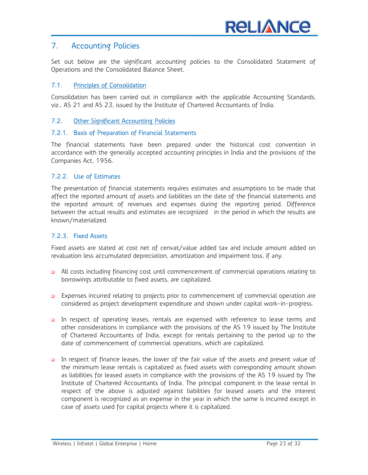### 7. Accounting Policies

Set out below are the significant accounting policies to the Consolidated Statement of Operations and the Consolidated Balance Sheet.

### 7.1. Principles of Consolidation

Consolidation has been carried out in compliance with the applicable Accounting Standards, viz., AS 21 and AS 23, issued by the Institute of Chartered Accountants of India.

### 7.2. Other Significant Accounting Policies

#### 7.2.1. Basis of Preparation of Financial Statements

The financial statements have been prepared under the historical cost convention in accordance with the generally accepted accounting principles in India and the provisions of the Companies Act, 1956.

### 7.2.2. Use of Estimates

The presentation of financial statements requires estimates and assumptions to be made that affect the reported amount of assets and liabilities on the date of the financial statements and the reported amount of revenues and expenses during the reporting period. Difference between the actual results and estimates are recognized in the period in which the results are known/materialized.

#### 7.2.3. Fixed Assets

Fixed assets are stated at cost net of cenvat/value added tax and include amount added on revaluation less accumulated depreciation, amortization and impairment loss, if any.

- All costs including financing cost until commencement of commercial operations relating to borrowings attributable to fixed assets, are capitalized.
- Expenses incurred relating to projects prior to commencement of commercial operation are considered as project development expenditure and shown under capital work-in-progress.
- In respect of operating leases, rentals are expensed with reference to lease terms and other considerations in compliance with the provisions of the AS 19 issued by The Institute of Chartered Accountants of India, except for rentals pertaining to the period up to the date of commencement of commercial operations, which are capitalized.
- In respect of finance leases, the lower of the fair value of the assets and present value of the minimum lease rentals is capitalized as fixed assets with corresponding amount shown as liabilities for leased assets in compliance with the provisions of the AS 19 issued by The Institute of Chartered Accountants of India. The principal component in the lease rental in respect of the above is adjusted against liabilities for leased assets and the interest component is recognized as an expense in the year in which the same is incurred except in case of assets used for capital projects where it is capitalized.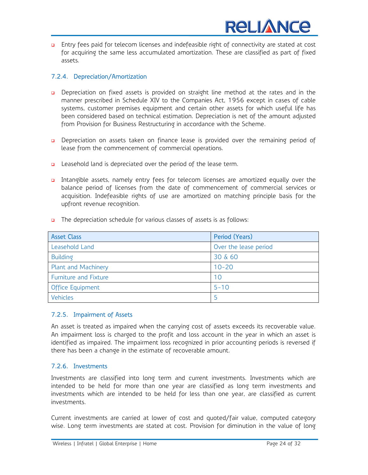Entry fees paid for telecom licenses and indefeasible right of connectivity are stated at cost for acquiring the same less accumulated amortization. These are classified as part of fixed assets.

### 7.2.4. Depreciation/Amortization

- Depreciation on fixed assets is provided on straight line method at the rates and in the manner prescribed in Schedule XIV to the Companies Act, 1956 except in cases of cable systems, customer premises equipment and certain other assets for which useful life has been considered based on technical estimation. Depreciation is net of the amount adjusted from Provision for Business Restructuring in accordance with the Scheme.
- Depreciation on assets taken on finance lease is provided over the remaining period of lease from the commencement of commercial operations.
- Leasehold land is depreciated over the period of the lease term.
- Intangible assets, namely entry fees for telecom licenses are amortized equally over the balance period of licenses from the date of commencement of commercial services or acquisition. Indefeasible rights of use are amortized on matching principle basis for the upfront revenue recognition.

| <b>Asset Class</b>    | Period (Years)        |
|-----------------------|-----------------------|
| Leasehold Land        | Over the lease period |
| <b>Building</b>       | 30 & 60               |
| Plant and Machinery   | $10 - 20$             |
| Furniture and Fixture | 10                    |
| Office Equipment      | $5 - 10$              |
| <b>Vehicles</b>       |                       |

**n** The depreciation schedule for various classes of assets is as follows:

### 7.2.5. Impairment of Assets

An asset is treated as impaired when the carrying cost of assets exceeds its recoverable value. An impairment loss is charged to the profit and loss account in the year in which an asset is identified as impaired. The impairment loss recognized in prior accounting periods is reversed if there has been a change in the estimate of recoverable amount.

### 7.2.6. Investments

Investments are classified into long term and current investments. Investments which are intended to be held for more than one year are classified as long term investments and investments which are intended to be held for less than one year, are classified as current investments.

Current investments are carried at lower of cost and quoted/fair value, computed category wise. Long term investments are stated at cost. Provision for diminution in the value of long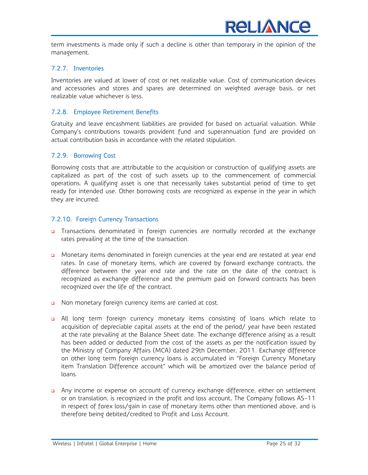

term investments is made only if such a decline is other than temporary in the opinion of the management.

### 7.2.7. Inventories

Inventories are valued at lower of cost or net realizable value. Cost of communication devices and accessories and stores and spares are determined on weighted average basis, or net realizable value whichever is less.

### 7.2.8. Employee Retirement Benefits

Gratuity and leave encashment liabilities are provided for based on actuarial valuation. While Company's contributions towards provident fund and superannuation fund are provided on actual contribution basis in accordance with the related stipulation.

### 7.2.9. Borrowing Cost

Borrowing costs that are attributable to the acquisition or construction of qualifying assets are capitalized as part of the cost of such assets up to the commencement of commercial operations. A qualifying asset is one that necessarily takes substantial period of time to get ready for intended use. Other borrowing costs are recognized as expense in the year in which they are incurred.

### 7.2.10. Foreign Currency Transactions

- Transactions denominated in foreign currencies are normally recorded at the exchange rates prevailing at the time of the transaction.
- Monetary items denominated in foreign currencies at the year end are restated at year end rates. In case of monetary items, which are covered by forward exchange contracts, the difference between the year end rate and the rate on the date of the contract is recognized as exchange difference and the premium paid on forward contracts has been recognized over the life of the contract.
- **D** Non monetary foreign currency items are carried at cost.
- All long term foreign currency monetary items consisting of loans which relate to acquisition of depreciable capital assets at the end of the period/ year have been restated at the rate prevailing at the Balance Sheet date. The exchange difference arising as a result has been added or deducted from the cost of the assets as per the notification issued by the Ministry of Company Affairs (MCA) dated 29th December, 2011. Exchange difference on other long term foreign currency loans is accumulated in "Foreign Currency Monetary item Translation Difference account" which will be amortized over the balance period of loans.
- Any income or expense on account of currency exchange difference, either on settlement or on translation, is recognized in the profit and loss account. The Company follows AS-11 in respect of forex loss/gain in case of monetary items other than mentioned above, and is therefore being debited/credited to Profit and Loss Account.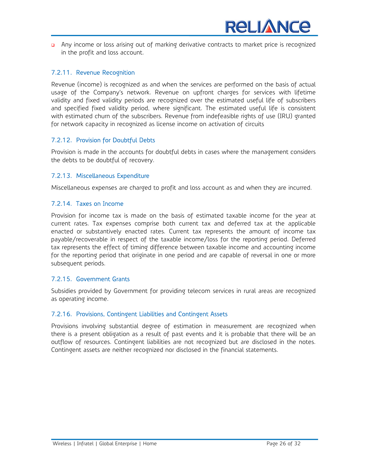

 Any income or loss arising out of marking derivative contracts to market price is recognized in the profit and loss account.

### 7.2.11. Revenue Recognition

Revenue (income) is recognized as and when the services are performed on the basis of actual usage of the Company's network. Revenue on upfront charges for services with lifetime validity and fixed validity periods are recognized over the estimated useful life of subscribers and specified fixed validity period, where significant. The estimated useful life is consistent with estimated churn of the subscribers. Revenue from indefeasible rights of use (IRU) granted for network capacity in recognized as license income on activation of circuits

### 7.2.12. Provision for Doubtful Debts

Provision is made in the accounts for doubtful debts in cases where the management considers the debts to be doubtful of recovery.

### 7.2.13. Miscellaneous Expenditure

Miscellaneous expenses are charged to profit and loss account as and when they are incurred.

### 7.2.14. Taxes on Income

Provision for income tax is made on the basis of estimated taxable income for the year at current rates. Tax expenses comprise both current tax and deferred tax at the applicable enacted or substantively enacted rates. Current tax represents the amount of income tax payable/recoverable in respect of the taxable income/loss for the reporting period. Deferred tax represents the effect of timing difference between taxable income and accounting income for the reporting period that originate in one period and are capable of reversal in one or more subsequent periods.

### 7.2.15. Government Grants

Subsidies provided by Government for providing telecom services in rural areas are recognized as operating income.

### 7.2.16. Provisions, Contingent Liabilities and Contingent Assets

Provisions involving substantial degree of estimation in measurement are recognized when there is a present obligation as a result of past events and it is probable that there will be an outflow of resources. Contingent liabilities are not recognized but are disclosed in the notes. Contingent assets are neither recognized nor disclosed in the financial statements.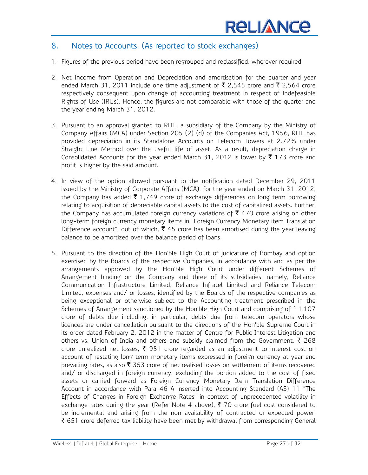### 8. Notes to Accounts. (As reported to stock exchanges)

- 1. Figures of the previous period have been regrouped and reclassified, wherever required
- 2. Net Income from Operation and Depreciation and amortisation for the quarter and year ended March 31, 2011 include one time adjustment of  $\bar{\tau}$  2,545 crore and  $\bar{\tau}$  2,564 crore respectively consequent upon change of accounting treatment in respect of Indefeasible Rights of Use (IRUs). Hence, the figures are not comparable with those of the quarter and the year ending March 31, 2012.
- 3. Pursuant to an approval granted to RITL, a subsidiary of the Company by the Ministry of Company Affairs (MCA) under Section 205 (2) (d) of the Companies Act, 1956, RITL has provided depreciation in its Standalone Accounts on Telecom Towers at 2.72% under Straight Line Method over the useful life of asset. As a result, depreciation charge in Consolidated Accounts for the year ended March 31, 2012 is lower by  $\bar{\tau}$  173 crore and profit is higher by the said amount.
- 4. In view of the option allowed pursuant to the notification dated December 29, 2011 issued by the Ministry of Corporate Affairs (MCA), for the year ended on March 31, 2012, the Company has added  $\bar{\xi}$  1,749 crore of exchange differences on long term borrowing relating to acquisition of depreciable capital assets to the cost of capitalized assets. Further, the Company has accumulated foreign currency variations of  $\bar{\tau}$  470 crore arising on other long-term foreign currency monetary items in "Foreign Currency Monetary item Translation Difference account", out of which,  $\bar{x}$  45 crore has been amortised during the year leaving balance to be amortized over the balance period of loans.
- 5. Pursuant to the direction of the Hon'ble High Court of judicature of Bombay and option exercised by the Boards of the respective Companies, in accordance with and as per the arrangements approved by the Hon'ble High Court under different Schemes of Arrangement binding on the Company and three of its subsidiaries, namely, Reliance Communication Infrastructure Limited, Reliance Infratel Limited and Reliance Telecom Limited, expenses and/ or losses, identified by the Boards of the respective companies as being exceptional or otherwise subject to the Accounting treatment prescribed in the Schemes of Arrangement sanctioned by the Hon'ble High Court and comprising of ` 1,107 crore of debts due including, in particular, debts due from telecom operators whose licences are under cancellation pursuant to the directions of the Hon'ble Supreme Court in its order dated February 2, 2012 in the matter of Centre for Public Interest Litigation and others vs. Union of India and others and subsidy claimed from the Government,  $\bar{\tau}$  268 crore unrealized net losses,  $\bar{\xi}$  951 crore regarded as an adjustment to interest cost on account of restating long term monetary items expressed in foreign currency at year end prevailing rates, as also  $\bar{\tau}$  353 crore of net realised losses on settlement of items recovered and/ or discharged in foreign currency, excluding the portion added to the cost of fixed assets or carried forward as Foreign Currency Monetary Item Translation Difference Account in accordance with Para 46 A inserted into Accounting Standard (AS) 11 "The Effects of Changes in Foreign Exchange Rates" in context of unprecedented volatility in exchange rates during the year (Refer Note 4 above),  $\bar{\tau}$  70 crore fuel cost considered to be incremental and arising from the non availability of contracted or expected power,  $\bar{\bar{\xi}}$  651 crore deferred tax liability have been met by withdrawal from corresponding General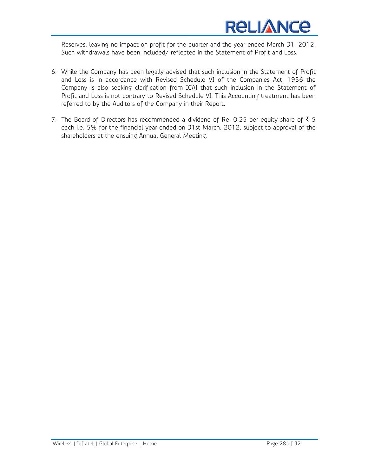

Reserves, leaving no impact on profit for the quarter and the year ended March 31, 2012. Such withdrawals have been included/ reflected in the Statement of Profit and Loss.

- 6. While the Company has been legally advised that such inclusion in the Statement of Profit and Loss is in accordance with Revised Schedule VI of the Companies Act, 1956 the Company is also seeking clarification from ICAI that such inclusion in the Statement of Profit and Loss is not contrary to Revised Schedule VI. This Accounting treatment has been referred to by the Auditors of the Company in their Report.
- 7. The Board of Directors has recommended a dividend of Re. 0.25 per equity share of  $\bar{z}$  5 each i.e. 5% for the financial year ended on 31st March, 2012, subject to approval of the shareholders at the ensuing Annual General Meeting.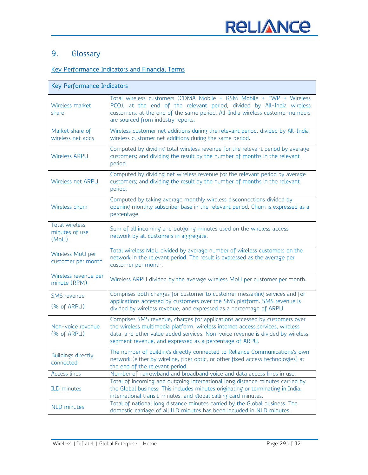### 9. Glossary

### Key Performance Indicators and Financial Terms

| <b>Key Performance Indicators</b>                |                                                                                                                                                                                                                                                                                                          |
|--------------------------------------------------|----------------------------------------------------------------------------------------------------------------------------------------------------------------------------------------------------------------------------------------------------------------------------------------------------------|
| Wireless market<br>share                         | Total wireless customers (CDMA Mobile + GSM Mobile + FWP + Wireless<br>PCO), at the end of the relevant period, divided by All-India wireless<br>customers, at the end of the same period. All-India wireless customer numbers<br>are sourced from industry reports.                                     |
| Market share of<br>wireless net adds             | Wireless customer net additions during the relevant period, divided by All-India<br>wireless customer net additions during the same period.                                                                                                                                                              |
| <b>Wireless ARPU</b>                             | Computed by dividing total wireless revenue for the relevant period by average<br>customers; and dividing the result by the number of months in the relevant<br>period.                                                                                                                                  |
| Wireless net ARPU                                | Computed by dividing net wireless revenue for the relevant period by average<br>customers; and dividing the result by the number of months in the relevant<br>period.                                                                                                                                    |
| Wireless churn                                   | Computed by taking average monthly wireless disconnections divided by<br>opening monthly subscriber base in the relevant period. Churn is expressed as a<br>percentage.                                                                                                                                  |
| <b>Total wireless</b><br>minutes of use<br>(MoU) | Sum of all incoming and outgoing minutes used on the wireless access<br>network by all customers in aggregate.                                                                                                                                                                                           |
| Wireless MoU per<br>customer per month           | Total wireless MoU divided by average number of wireless customers on the<br>network in the relevant period. The result is expressed as the average per<br>customer per month.                                                                                                                           |
| Wireless revenue per<br>minute (RPM)             | Wireless ARPU divided by the average wireless MoU per customer per month.                                                                                                                                                                                                                                |
| <b>SMS</b> revenue<br>(% of ARPU)                | Comprises both charges for customer to customer messaging services and for<br>applications accessed by customers over the SMS platform. SMS revenue is<br>divided by wireless revenue, and expressed as a percentage of ARPU.                                                                            |
| Non-voice revenue<br>(% of ARPU)                 | Comprises SMS revenue, charges for applications accessed by customers over<br>the wireless multimedia platform, wireless internet access services, wireless<br>data, and other value added services. Non-voice revenue is divided by wireless<br>segment revenue, and expressed as a percentage of ARPU. |
| <b>Buildings directly</b><br>connected           | The number of buildings directly connected to Reliance Communications's own<br>network (either by wireline, fiber optic, or other fixed access technologies) at<br>the end of the relevant period.                                                                                                       |
| Access lines                                     | Number of narrowband and broadband voice and data access lines in use.                                                                                                                                                                                                                                   |
| ILD minutes                                      | Total of incoming and outgoing international long distance minutes carried by<br>the Global business. This includes minutes originating or terminating in India,<br>international transit minutes, and global calling card minutes.                                                                      |
| <b>NLD</b> minutes                               | Total of national long distance minutes carried by the Global business. The<br>domestic carriage of all ILD minutes has been included in NLD minutes.                                                                                                                                                    |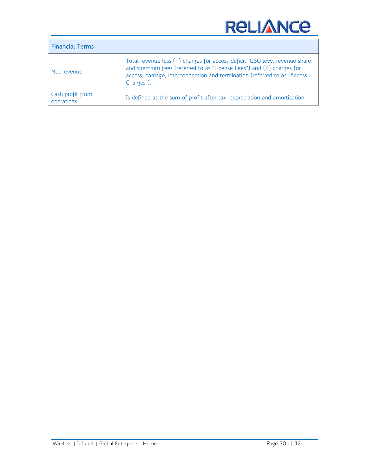

| <b>Financial Terms</b>         |                                                                                                                                                                                                                                                |
|--------------------------------|------------------------------------------------------------------------------------------------------------------------------------------------------------------------------------------------------------------------------------------------|
| Net revenue                    | Total revenue less (1) charges for access deficit, USO levy, revenue share<br>and spectrum fees (referred to as "License Fees") and (2) charges for<br>access, carriage, interconnection and termination (referred to as "Access<br>Charges"). |
| Cash profit from<br>operations | Is defined as the sum of profit after tax, depreciation and amortization.                                                                                                                                                                      |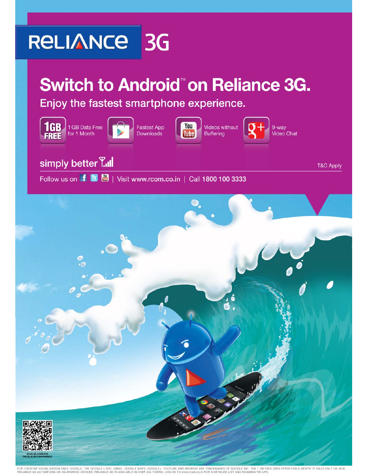# RELIANCE 3G

## **Switch to Android<sup>™</sup>on Reliance 3G.**

Enjoy the fastest smartphone experience.



E TRADEMARKS OF GOOGLE INC. THE 1 GB FREE DATA OFFER FOR A MONTH IS VALID ONLY ON NEW<br>FOR A DETAILED LIST AND ROAMING TIE-UPS. FOR CREATIVE VISUALISATION ONLY. GO<br>RELIANCE 3G ACTIVATIONS ON 3G ANDF